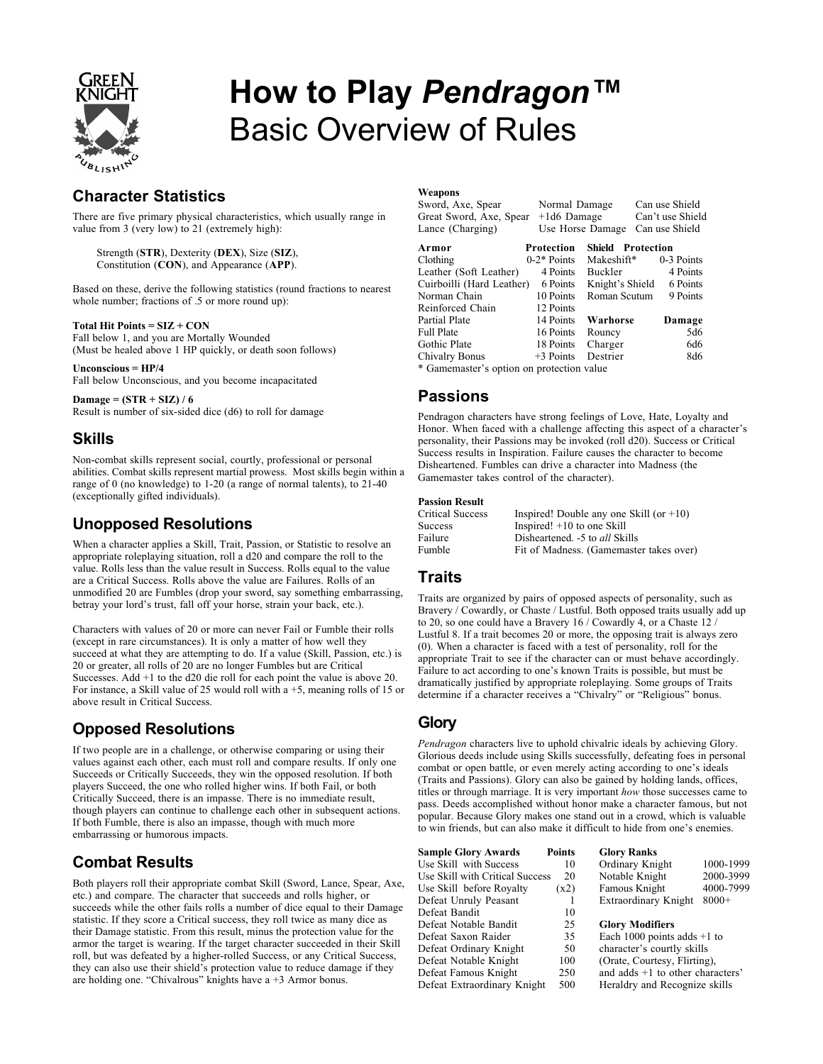

# **How to Play** *Pendragon™* Basic Overview of Rules

## **Character Statistics**

There are five primary physical characteristics, which usually range in value from 3 (very low) to 21 (extremely high):

Strength (**STR**), Dexterity (**DEX**), Size (**SIZ**), Constitution (**CON**), and Appearance (**APP**).

Based on these, derive the following statistics (round fractions to nearest whole number; fractions of .5 or more round up):

#### **Total Hit Points = SIZ + CON**

Fall below 1, and you are Mortally Wounded (Must be healed above 1 HP quickly, or death soon follows)

**Unconscious = HP/4** Fall below Unconscious, and you become incapacitated

**Damage = (STR + SIZ) / 6** Result is number of six-sided dice (d6) to roll for damage

#### **Skills**

Non-combat skills represent social, courtly, professional or personal abilities. Combat skills represent martial prowess. Most skills begin within a range of 0 (no knowledge) to 1-20 (a range of normal talents), to 21-40 (exceptionally gifted individuals).

#### **Unopposed Resolutions**

When a character applies a Skill, Trait, Passion, or Statistic to resolve an appropriate roleplaying situation, roll a d20 and compare the roll to the value. Rolls less than the value result in Success. Rolls equal to the value are a Critical Success. Rolls above the value are Failures. Rolls of an unmodified 20 are Fumbles (drop your sword, say something embarrassing, betray your lord's trust, fall off your horse, strain your back, etc.).

Characters with values of 20 or more can never Fail or Fumble their rolls (except in rare circumstances). It is only a matter of how well they succeed at what they are attempting to do. If a value (Skill, Passion, etc.) is 20 or greater, all rolls of 20 are no longer Fumbles but are Critical Successes. Add +1 to the d20 die roll for each point the value is above 20. For instance, a Skill value of 25 would roll with a +5, meaning rolls of 15 or above result in Critical Success.

## **Opposed Resolutions**

If two people are in a challenge, or otherwise comparing or using their values against each other, each must roll and compare results. If only one Succeeds or Critically Succeeds, they win the opposed resolution. If both players Succeed, the one who rolled higher wins. If both Fail, or both Critically Succeed, there is an impasse. There is no immediate result, though players can continue to challenge each other in subsequent actions. If both Fumble, there is also an impasse, though with much more embarrassing or humorous impacts.

## **Combat Results**

Both players roll their appropriate combat Skill (Sword, Lance, Spear, Axe, etc.) and compare. The character that succeeds and rolls higher, or succeeds while the other fails rolls a number of dice equal to their Damage statistic. If they score a Critical success, they roll twice as many dice as their Damage statistic. From this result, minus the protection value for the armor the target is wearing. If the target character succeeded in their Skill roll, but was defeated by a higher-rolled Success, or any Critical Success, they can also use their shield's protection value to reduce damage if they are holding one. "Chivalrous" knights have a +3 Armor bonus.

#### **Weapons**

| Sword, Axe, Spear<br>Great Sword, Axe, Spear<br>Lance (Charging) | Normal Damage<br>$+1d6$ Damage<br>Use Horse Damage |                          | Can use Shield<br>Can't use Shield<br>Can use Shield |  |
|------------------------------------------------------------------|----------------------------------------------------|--------------------------|------------------------------------------------------|--|
| Armor                                                            | Protection                                         | <b>Shield Protection</b> |                                                      |  |
| Clothing                                                         | $0-2*$ Points                                      | Makeshift*               | 0-3 Points                                           |  |
| Leather (Soft Leather)                                           | 4 Points                                           | Buckler                  | 4 Points                                             |  |
| Cuirboilli (Hard Leather)                                        | 6 Points                                           | Knight's Shield          | 6 Points                                             |  |
| Norman Chain                                                     | 10 Points                                          | Roman Scutum             | 9 Points                                             |  |
| Reinforced Chain                                                 | 12 Points                                          |                          |                                                      |  |
| Partial Plate                                                    | 14 Points                                          | Warhorse                 | Damage                                               |  |
| <b>Full Plate</b>                                                | 16 Points                                          | Rouncy                   | 5d6                                                  |  |
| Gothic Plate                                                     | 18 Points                                          | Charger                  | 6d6                                                  |  |
| Chivalry Bonus                                                   | $+3$ Points                                        | Destrier                 | 8d6                                                  |  |
| * Gamemaster's option on protection value                        |                                                    |                          |                                                      |  |

#### **Passions**

Pendragon characters have strong feelings of Love, Hate, Loyalty and Honor. When faced with a challenge affecting this aspect of a character's personality, their Passions may be invoked (roll d20). Success or Critical Success results in Inspiration. Failure causes the character to become Disheartened. Fumbles can drive a character into Madness (the Gamemaster takes control of the character).

#### **Passion Result**

| Critical Success | Inspired! Double any one Skill (or $+10$ ) |
|------------------|--------------------------------------------|
| Success          | Inspired! $+10$ to one Skill               |
| Failure          | Disheartened. -5 to all Skills             |
| Fumble           | Fit of Madness. (Gamemaster takes over)    |

#### **Traits**

Traits are organized by pairs of opposed aspects of personality, such as Bravery / Cowardly, or Chaste / Lustful. Both opposed traits usually add up to 20, so one could have a Bravery 16 / Cowardly 4, or a Chaste 12 / Lustful 8. If a trait becomes 20 or more, the opposing trait is always zero (0). When a character is faced with a test of personality, roll for the appropriate Trait to see if the character can or must behave accordingly. Failure to act according to one's known Traits is possible, but must be dramatically justified by appropriate roleplaying. Some groups of Traits determine if a character receives a "Chivalry" or "Religious" bonus.

#### **Glory**

*Pendragon* characters live to uphold chivalric ideals by achieving Glory. Glorious deeds include using Skills successfully, defeating foes in personal combat or open battle, or even merely acting according to one's ideals (Traits and Passions). Glory can also be gained by holding lands, offices, titles or through marriage. It is very important *how* those successes came to pass. Deeds accomplished without honor make a character famous, but not popular. Because Glory makes one stand out in a crowd, which is valuable to win friends, but can also make it difficult to hide from one's enemies.

| <b>Sample Glory Awards</b>      | <b>Points</b> | <b>Glory Ranks</b>                 |           |
|---------------------------------|---------------|------------------------------------|-----------|
| Use Skill with Success          | 10            | Ordinary Knight                    | 1000-1999 |
| Use Skill with Critical Success | 20            | Notable Knight                     | 2000-3999 |
| Use Skill before Royalty        | (x2)          | Famous Knight                      | 4000-7999 |
| Defeat Unruly Peasant           |               | Extraordinary Knight               | $8000+$   |
| Defeat Bandit                   | 10            |                                    |           |
| Defeat Notable Bandit           | 25            | <b>Glory Modifiers</b>             |           |
| Defeat Saxon Raider             | 35            | Each 1000 points adds $+1$ to      |           |
| Defeat Ordinary Knight          | 50            | character's courtly skills         |           |
| Defeat Notable Knight           | 100           | (Orate, Courtesy, Flirting).       |           |
| Defeat Famous Knight            | 250           | and adds $+1$ to other characters' |           |
| Defeat Extraordinary Knight     | 500           | Heraldry and Recognize skills      |           |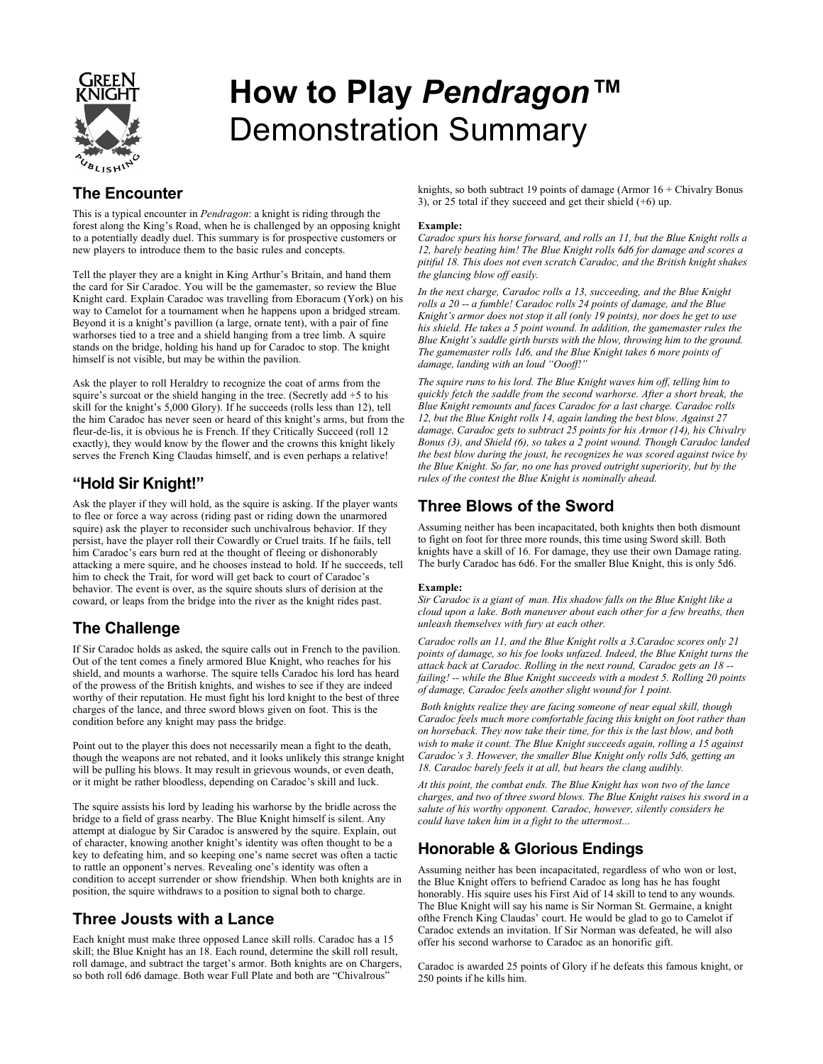

# **How to Play** *Pendragon™* Demonstration Summary

## **The Encounter**

This is a typical encounter in *Pendragon*: a knight is riding through the forest along the King's Road, when he is challenged by an opposing knight to a potentially deadly duel. This summary is for prospective customers or new players to introduce them to the basic rules and concepts.

Tell the player they are a knight in King Arthur's Britain, and hand them the card for Sir Caradoc. You will be the gamemaster, so review the Blue Knight card. Explain Caradoc was travelling from Eboracum (York) on his way to Camelot for a tournament when he happens upon a bridged stream. Beyond it is a knight's pavillion (a large, ornate tent), with a pair of fine warhorses tied to a tree and a shield hanging from a tree limb. A squire stands on the bridge, holding his hand up for Caradoc to stop. The knight himself is not visible, but may be within the pavilion.

Ask the player to roll Heraldry to recognize the coat of arms from the squire's surcoat or the shield hanging in the tree. (Secretly add +5 to his skill for the knight's 5,000 Glory). If he succeeds (rolls less than 12), tell the him Caradoc has never seen or heard of this knight's arms, but from the fleur-de-lis, it is obvious he is French. If they Critically Succeed (roll 12 exactly), they would know by the flower and the crowns this knight likely serves the French King Claudas himself, and is even perhaps a relative!

## **"Hold Sir Knight!"**

Ask the player if they will hold, as the squire is asking. If the player wants to flee or force a way across (riding past or riding down the unarmored squire) ask the player to reconsider such unchivalrous behavior. If they persist, have the player roll their Cowardly or Cruel traits. If he fails, tell him Caradoc's ears burn red at the thought of fleeing or dishonorably attacking a mere squire, and he chooses instead to hold. If he succeeds, tell him to check the Trait, for word will get back to court of Caradoc's behavior. The event is over, as the squire shouts slurs of derision at the coward, or leaps from the bridge into the river as the knight rides past.

## **The Challenge**

If Sir Caradoc holds as asked, the squire calls out in French to the pavilion. Out of the tent comes a finely armored Blue Knight, who reaches for his shield, and mounts a warhorse. The squire tells Caradoc his lord has heard of the prowess of the British knights, and wishes to see if they are indeed worthy of their reputation. He must fight his lord knight to the best of three charges of the lance, and three sword blows given on foot. This is the condition before any knight may pass the bridge.

Point out to the player this does not necessarily mean a fight to the death, though the weapons are not rebated, and it looks unlikely this strange knight will be pulling his blows. It may result in grievous wounds, or even death, or it might be rather bloodless, depending on Caradoc's skill and luck.

The squire assists his lord by leading his warhorse by the bridle across the bridge to a field of grass nearby. The Blue Knight himself is silent. Any attempt at dialogue by Sir Caradoc is answered by the squire. Explain, out of character, knowing another knight's identity was often thought to be a key to defeating him, and so keeping one's name secret was often a tactic to rattle an opponent's nerves. Revealing one's identity was often a condition to accept surrender or show friendship. When both knights are in position, the squire withdraws to a position to signal both to charge.

## **Three Jousts with a Lance**

Each knight must make three opposed Lance skill rolls. Caradoc has a 15 skill; the Blue Knight has an 18. Each round, determine the skill roll result, roll damage, and subtract the target's armor. Both knights are on Chargers, so both roll 6d6 damage. Both wear Full Plate and both are "Chivalrous"

knights, so both subtract 19 points of damage (Armor 16 + Chivalry Bonus 3), or 25 total if they succeed and get their shield (+6) up.

#### **Example:**

*Caradoc spurs his horse forward, and rolls an 11, but the Blue Knight rolls a 12, barely beating him! The Blue Knight rolls 6d6 for damage and scores a pitiful 18. This does not even scratch Caradoc, and the British knight shakes the glancing blow off easily.*

*In the next charge, Caradoc rolls a 13, succeeding, and the Blue Knight rolls a 20 -- a fumble! Caradoc rolls 24 points of damage, and the Blue Knight's armor does not stop it all (only 19 points), nor does he get to use his shield. He takes a 5 point wound. In addition, the gamemaster rules the Blue Knight's saddle girth bursts with the blow, throwing him to the ground. The gamemaster rolls 1d6, and the Blue Knight takes 6 more points of damage, landing with an loud "Oooff!"*

*The squire runs to his lord. The Blue Knight waves him off, telling him to quickly fetch the saddle from the second warhorse. After a short break, the Blue Knight remounts and faces Caradoc for a last charge. Caradoc rolls 12, but the Blue Knight rolls 14, again landing the best blow. Against 27 damage, Caradoc gets to subtract 25 points for his Armor (14), his Chivalry Bonus (3), and Shield (6), so takes a 2 point wound. Though Caradoc landed the best blow during the joust, he recognizes he was scored against twice by the Blue Knight. So far, no one has proved outright superiority, but by the rules of the contest the Blue Knight is nominally ahead.*

#### **Three Blows of the Sword**

Assuming neither has been incapacitated, both knights then both dismount to fight on foot for three more rounds, this time using Sword skill. Both knights have a skill of 16. For damage, they use their own Damage rating. The burly Caradoc has 6d6. For the smaller Blue Knight, this is only 5d6.

#### **Example:**

*Sir Caradoc is a giant of man. His shadow falls on the Blue Knight like a cloud upon a lake. Both maneuver about each other for a few breaths, then unleash themselves with fury at each other.*

*Caradoc rolls an 11, and the Blue Knight rolls a 3.Caradoc scores only 21 points of damage, so his foe looks unfazed. Indeed, the Blue Knight turns the attack back at Caradoc. Rolling in the next round, Caradoc gets an 18 - failing! -- while the Blue Knight succeeds with a modest 5. Rolling 20 points of damage, Caradoc feels another slight wound for 1 point.*

*Both knights realize they are facing someone of near equal skill, though Caradoc feels much more comfortable facing this knight on foot rather than on horseback. They now take their time, for this is the last blow, and both wish to make it count. The Blue Knight succeeds again, rolling a 15 against Caradoc's 3. However, the smaller Blue Knight only rolls 5d6, getting an 18. Caradoc barely feels it at all, but hears the clang audibly.*

*At this point, the combat ends. The Blue Knight has won two of the lance charges, and two of three sword blows. The Blue Knight raises his sword in a salute of his worthy opponent. Caradoc, however, silently considers he could have taken him in a fight to the uttermost...*

## **Honorable & Glorious Endings**

Assuming neither has been incapacitated, regardless of who won or lost, the Blue Knight offers to befriend Caradoc as long has he has fought honorably. His squire uses his First Aid of 14 skill to tend to any wounds. The Blue Knight will say his name is Sir Norman St. Germaine, a knight ofthe French King Claudas' court. He would be glad to go to Camelot if Caradoc extends an invitation. If Sir Norman was defeated, he will also offer his second warhorse to Caradoc as an honorific gift.

Caradoc is awarded 25 points of Glory if he defeats this famous knight, or 250 points if he kills him.